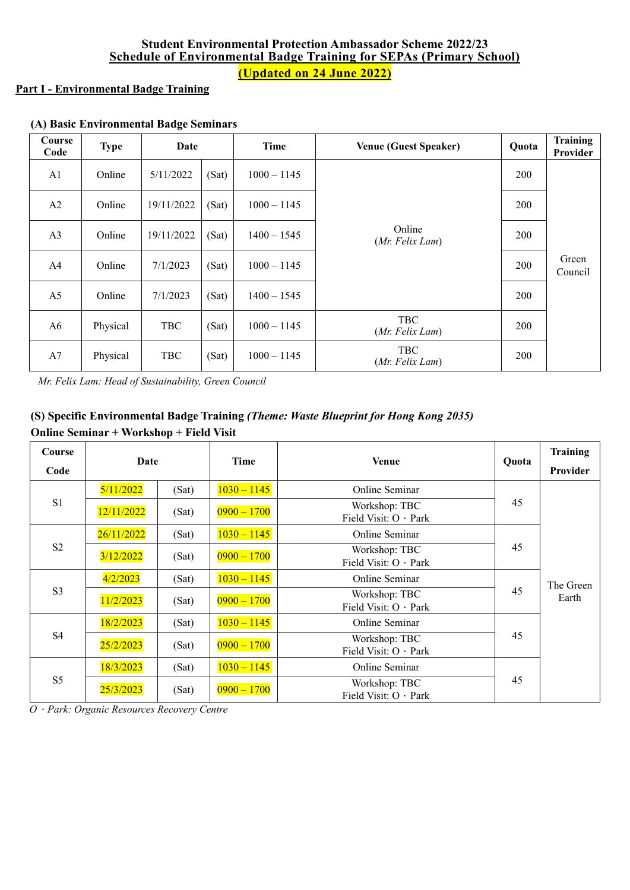## **Student Environmental Protection Ambassador Scheme 2022/23 Schedule of Environmental Badge Training for SEPAs (Primary School) (Updated on 24 June 2022)**

### **Part I - Environmental Badge Training**

| Course<br>Code | <b>Type</b> | Date       |       | Time          | <b>Venue (Guest Speaker)</b>  | Quota      | Training<br>Provider |
|----------------|-------------|------------|-------|---------------|-------------------------------|------------|----------------------|
| A1             | Online      | 5/11/2022  | (Sat) | $1000 - 1145$ |                               | <b>200</b> |                      |
| A2             | Online      | 19/11/2022 | (Sat) | $1000 - 1145$ | <b>200</b>                    |            |                      |
| A <sub>3</sub> | Online      | 19/11/2022 | (Sat) | $1400 - 1545$ | Online<br>(Mr. Felix Lam)     | 200        |                      |
| A4             | Online      | 7/1/2023   | (Sat) | $1000 - 1145$ |                               | 200        | Green<br>Council     |
| A <sub>5</sub> | Online      | 7/1/2023   | (Sat) | $1400 - 1545$ |                               | 200        |                      |
| A6             | Physical    | <b>TBC</b> | (Sat) | $1000 - 1145$ | <b>TBC</b><br>(Mr. Felix Lam) | <b>200</b> |                      |
| A7             | Physical    | <b>TBC</b> | (Sat) | $1000 - 1145$ | <b>TBC</b><br>(Mr. Felix Lam) | <b>200</b> |                      |

# **(A) Basic Environmental Badge Seminars**

*Mr. Felix Lam: Head of Sustainability, Green Council*

# **(S) Specific Environmental Badge Training** *(Theme: Waste Blueprint for Hong Kong 2035)* **Online Seminar + Workshop + Field Visit**

| Course<br>Code | Date       |       | Time          | <b>Venue</b>                           | Quota | Training<br>Provider |
|----------------|------------|-------|---------------|----------------------------------------|-------|----------------------|
|                | 5/11/2022  | (Sat) | $1030 - 1145$ | Online Seminar                         |       |                      |
| S1             | 12/11/2022 | (Sat) | $0900 - 1700$ | Workshop: TBC<br>Field Visit: O · Park | 45    | The Green<br>Earth   |
| S <sub>2</sub> | 26/11/2022 | (Sat) | $1030 - 1145$ | Online Seminar                         |       |                      |
|                | 3/12/2022  | (Sat) | $0900 - 1700$ | Workshop: TBC<br>Field Visit: O · Park | 45    |                      |
|                | 4/2/2023   | (Sat) | $1030 - 1145$ | Online Seminar                         | 45    |                      |
| S <sub>3</sub> | 11/2/2023  | (Sat) | $0900 - 1700$ | Workshop: TBC<br>Field Visit: O · Park |       |                      |
| S <sub>4</sub> | 18/2/2023  | (Sat) | $1030 - 1145$ | Online Seminar                         |       |                      |
|                | 25/2/2023  | (Sat) | $0900 - 1700$ | Workshop: TBC<br>Field Visit: O · Park | 45    |                      |
| S <sub>5</sub> | 18/3/2023  | (Sat) | $1030 - 1145$ | Online Seminar                         |       |                      |
|                | 25/3/2023  | (Sat) | $0900 - 1700$ | Workshop: TBC<br>Field Visit: O · Park | 45    |                      |

*O*.*Park: Organic Resources Recovery Centre*